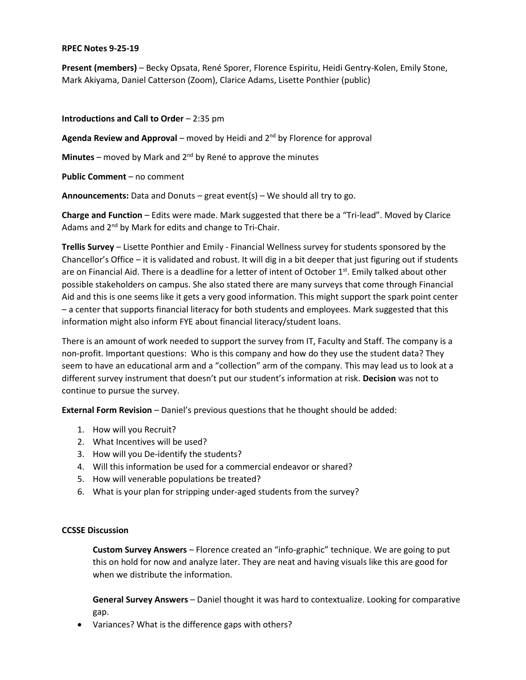## **RPEC Notes 9-25-19**

**Present (members)** – Becky Opsata, René Sporer, Florence Espiritu, Heidi Gentry-Kolen, Emily Stone, Mark Akiyama, Daniel Catterson (Zoom), Clarice Adams, Lisette Ponthier (public)

**Introductions and Call to Order** – 2:35 pm

**Agenda Review and Approval** – moved by Heidi and 2<sup>nd</sup> by Florence for approval

**Minutes** – moved by Mark and 2nd by René to approve the minutes

**Public Comment** – no comment

**Announcements:** Data and Donuts – great event(s) – We should all try to go.

**Charge and Function** – Edits were made. Mark suggested that there be a "Tri-lead". Moved by Clarice Adams and 2<sup>nd</sup> by Mark for edits and change to Tri-Chair.

**Trellis Survey** – Lisette Ponthier and Emily - Financial Wellness survey for students sponsored by the Chancellor's Office – it is validated and robust. It will dig in a bit deeper that just figuring out if students are on Financial Aid. There is a deadline for a letter of intent of October 1<sup>st</sup>. Emily talked about other possible stakeholders on campus. She also stated there are many surveys that come through Financial Aid and this is one seems like it gets a very good information. This might support the spark point center – a center that supports financial literacy for both students and employees. Mark suggested that this information might also inform FYE about financial literacy/student loans.

There is an amount of work needed to support the survey from IT, Faculty and Staff. The company is a non-profit. Important questions: Who is this company and how do they use the student data? They seem to have an educational arm and a "collection" arm of the company. This may lead us to look at a different survey instrument that doesn't put our student's information at risk. **Decision** was not to continue to pursue the survey.

**External Form Revision** – Daniel's previous questions that he thought should be added:

- 1. How will you Recruit?
- 2. What Incentives will be used?
- 3. How will you De-identify the students?
- 4. Will this information be used for a commercial endeavor or shared?
- 5. How will venerable populations be treated?
- 6. What is your plan for stripping under-aged students from the survey?

## **CCSSE Discussion**

**Custom Survey Answers** – Florence created an "info-graphic" technique. We are going to put this on hold for now and analyze later. They are neat and having visuals like this are good for when we distribute the information.

**General Survey Answers** – Daniel thought it was hard to contextualize. Looking for comparative gap.

Variances? What is the difference gaps with others?